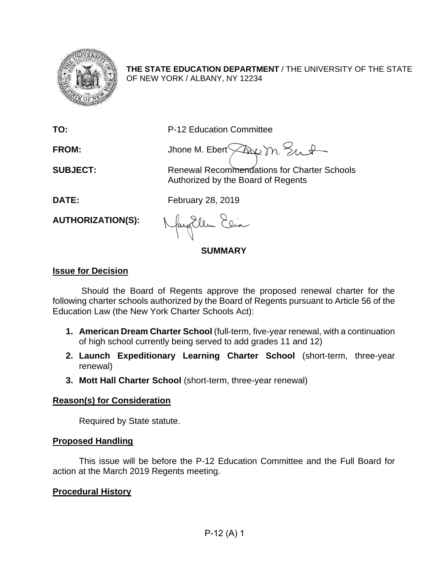

**THE STATE EDUCATION DEPARTMENT** / THE UNIVERSITY OF THE STATE OF NEW YORK / ALBANY, NY 12234

**TO:** P-12 Education Committee

FROM: Jhone M. Ebert Assemble 2nd

**SUBJECT:** Renewal Recommendations for Charter Schools Authorized by the Board of Regents

**DATE:** February 28, 2019

**AUTHORIZATION(S):**

fayallen Elia

# **SUMMARY**

# **Issue for Decision**

Should the Board of Regents approve the proposed renewal charter for the following charter schools authorized by the Board of Regents pursuant to Article 56 of the Education Law (the New York Charter Schools Act):

- **1. American Dream Charter School** (full-term, five-year renewal, with a continuation of high school currently being served to add grades 11 and 12)
- **2. Launch Expeditionary Learning Charter School** (short-term, three-year renewal)
- **3. Mott Hall Charter School** (short-term, three-year renewal)

# **Reason(s) for Consideration**

Required by State statute.

# **Proposed Handling**

This issue will be before the P-12 Education Committee and the Full Board for action at the March 2019 Regents meeting.

# **Procedural History**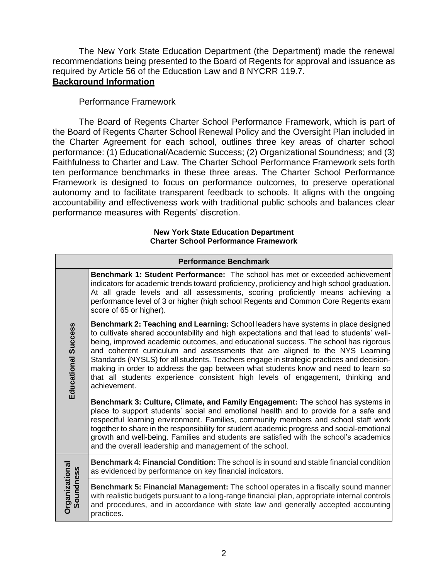The New York State Education Department (the Department) made the renewal recommendations being presented to the Board of Regents for approval and issuance as required by Article 56 of the Education Law and 8 NYCRR 119.7. **Background Information**

## Performance Framework

The Board of Regents Charter School Performance Framework, which is part of the Board of Regents Charter School Renewal Policy and the Oversight Plan included in the Charter Agreement for each school, outlines three key areas of charter school performance: (1) Educational/Academic Success; (2) Organizational Soundness; and (3) Faithfulness to Charter and Law. The Charter School Performance Framework sets forth ten performance benchmarks in these three areas*.* The Charter School Performance Framework is designed to focus on performance outcomes, to preserve operational autonomy and to facilitate transparent feedback to schools. It aligns with the ongoing accountability and effectiveness work with traditional public schools and balances clear performance measures with Regents' discretion.

#### **New York State Education Department Charter School Performance Framework**

|                                    | <b>Performance Benchmark</b>                                                                                                                                                                                                                                                                                                                                                                                                                                                                                                                                                                                                               |
|------------------------------------|--------------------------------------------------------------------------------------------------------------------------------------------------------------------------------------------------------------------------------------------------------------------------------------------------------------------------------------------------------------------------------------------------------------------------------------------------------------------------------------------------------------------------------------------------------------------------------------------------------------------------------------------|
|                                    | <b>Benchmark 1: Student Performance:</b> The school has met or exceeded achievement<br>indicators for academic trends toward proficiency, proficiency and high school graduation.<br>At all grade levels and all assessments, scoring proficiently means achieving a<br>performance level of 3 or higher (high school Regents and Common Core Regents exam<br>score of 65 or higher).                                                                                                                                                                                                                                                      |
| <b>Educational Success</b>         | Benchmark 2: Teaching and Learning: School leaders have systems in place designed<br>to cultivate shared accountability and high expectations and that lead to students' well-<br>being, improved academic outcomes, and educational success. The school has rigorous<br>and coherent curriculum and assessments that are aligned to the NYS Learning<br>Standards (NYSLS) for all students. Teachers engage in strategic practices and decision-<br>making in order to address the gap between what students know and need to learn so<br>that all students experience consistent high levels of engagement, thinking and<br>achievement. |
|                                    | Benchmark 3: Culture, Climate, and Family Engagement: The school has systems in<br>place to support students' social and emotional health and to provide for a safe and<br>respectful learning environment. Families, community members and school staff work<br>together to share in the responsibility for student academic progress and social-emotional<br>growth and well-being. Families and students are satisfied with the school's academics<br>and the overall leadership and management of the school.                                                                                                                          |
|                                    | Benchmark 4: Financial Condition: The school is in sound and stable financial condition<br>as evidenced by performance on key financial indicators.                                                                                                                                                                                                                                                                                                                                                                                                                                                                                        |
| <b>Organizational</b><br>Soundness | Benchmark 5: Financial Management: The school operates in a fiscally sound manner<br>with realistic budgets pursuant to a long-range financial plan, appropriate internal controls<br>and procedures, and in accordance with state law and generally accepted accounting<br>practices.                                                                                                                                                                                                                                                                                                                                                     |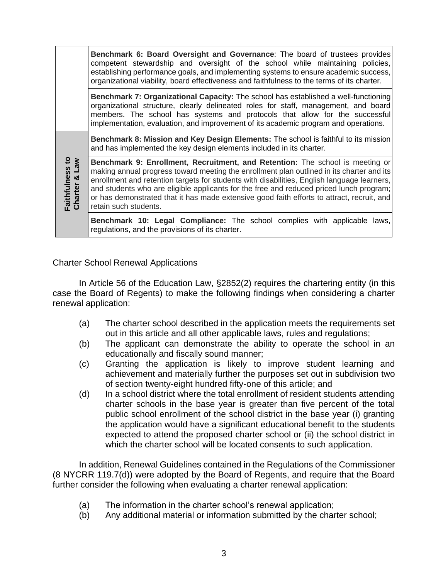|                                  | Benchmark 6: Board Oversight and Governance: The board of trustees provides<br>competent stewardship and oversight of the school while maintaining policies,<br>establishing performance goals, and implementing systems to ensure academic success,<br>organizational viability, board effectiveness and faithfulness to the terms of its charter.                                                                                                                                         |
|----------------------------------|---------------------------------------------------------------------------------------------------------------------------------------------------------------------------------------------------------------------------------------------------------------------------------------------------------------------------------------------------------------------------------------------------------------------------------------------------------------------------------------------|
|                                  | Benchmark 7: Organizational Capacity: The school has established a well-functioning<br>organizational structure, clearly delineated roles for staff, management, and board<br>members. The school has systems and protocols that allow for the successful<br>implementation, evaluation, and improvement of its academic program and operations.                                                                                                                                            |
|                                  | <b>Benchmark 8: Mission and Key Design Elements: The school is faithful to its mission</b><br>and has implemented the key design elements included in its charter.                                                                                                                                                                                                                                                                                                                          |
| Faithfulness to<br>Charter & Law | Benchmark 9: Enrollment, Recruitment, and Retention: The school is meeting or<br>making annual progress toward meeting the enrollment plan outlined in its charter and its<br>enrollment and retention targets for students with disabilities, English language learners,<br>and students who are eligible applicants for the free and reduced priced lunch program;<br>or has demonstrated that it has made extensive good faith efforts to attract, recruit, and<br>retain such students. |
|                                  | Benchmark 10: Legal Compliance: The school complies with applicable laws,<br>regulations, and the provisions of its charter.                                                                                                                                                                                                                                                                                                                                                                |

Charter School Renewal Applications

In Article 56 of the Education Law, §2852(2) requires the chartering entity (in this case the Board of Regents) to make the following findings when considering a charter renewal application:

- (a) The charter school described in the application meets the requirements set out in this article and all other applicable laws, rules and regulations;
- (b) The applicant can demonstrate the ability to operate the school in an educationally and fiscally sound manner;
- (c) Granting the application is likely to improve student learning and achievement and materially further the purposes set out in subdivision two of section twenty-eight hundred fifty-one of this article; and
- (d) In a school district where the total enrollment of resident students attending charter schools in the base year is greater than five percent of the total public school enrollment of the school district in the base year (i) granting the application would have a significant educational benefit to the students expected to attend the proposed charter school or (ii) the school district in which the charter school will be located consents to such application.

In addition, Renewal Guidelines contained in the Regulations of the Commissioner (8 NYCRR 119.7(d)) were adopted by the Board of Regents, and require that the Board further consider the following when evaluating a charter renewal application:

- (a) The information in the charter school's renewal application;
- (b) Any additional material or information submitted by the charter school;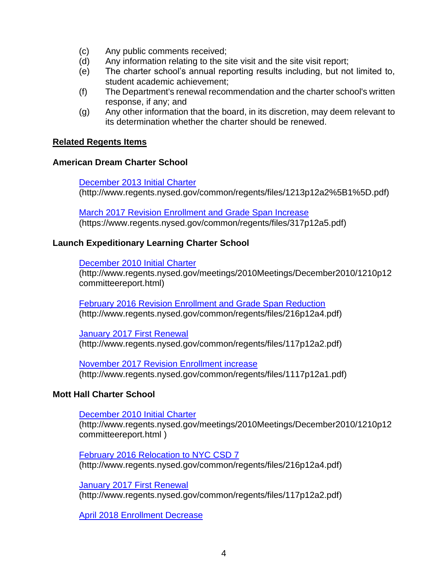- (c) Any public comments received;
- (d) Any information relating to the site visit and the site visit report;
- (e) The charter school's annual reporting results including, but not limited to, student academic achievement;
- (f) The Department's renewal recommendation and the charter school's written response, if any; and
- (g) Any other information that the board, in its discretion, may deem relevant to its determination whether the charter should be renewed.

# **Related Regents Items**

# **American Dream Charter School**

[December 2013](http://www.regents.nysed.gov/common/regents/files/1213p12a2%5B1%5D.pdf) Initial Charter (http://www.regents.nysed.gov/common/regents/files/1213p12a2%5B1%5D.pdf)

[March 2017 Revision Enrollment and Grade Span Increase](https://www.regents.nysed.gov/common/regents/files/317p12a5.pdf) (https://www.regents.nysed.gov/common/regents/files/317p12a5.pdf)

# **Launch Expeditionary Learning Charter School**

[December 2010 Initial Charter](http://www.regents.nysed.gov/meetings/2010Meetings/December2010/1210p12committeereport.html)

(http://www.regents.nysed.gov/meetings/2010Meetings/December2010/1210p12 committeereport.html)

[February 2016 Revision Enrollment and Grade Span Reduction](http://www.regents.nysed.gov/common/regents/files/216p12a4.pdf) (http://www.regents.nysed.gov/common/regents/files/216p12a4.pdf)

[January 2017 First Renewal](http://www.regents.nysed.gov/common/regents/files/117p12a2.pdf)  (http://www.regents.nysed.gov/common/regents/files/117p12a2.pdf)

[November 2017 Revision Enrollment increase](http://www.regents.nysed.gov/common/regents/files/1117p12a1.pdf)  (http://www.regents.nysed.gov/common/regents/files/1117p12a1.pdf)

# **Mott Hall Charter School**

[December 2010 Initial Charter](http://www.regents.nysed.gov/meetings/2010Meetings/December2010/1210p12committeereport.html) 

(http://www.regents.nysed.gov/meetings/2010Meetings/December2010/1210p12 committeereport.html )

[February 2016 Relocation to NYC CSD 7](http://www.regents.nysed.gov/common/regents/files/216p12a4.pdf)  (http://www.regents.nysed.gov/common/regents/files/216p12a4.pdf)

[January 2017 First Renewal](http://www.regents.nysed.gov/common/regents/files/117p12a2.pdf)  (http://www.regents.nysed.gov/common/regents/files/117p12a2.pdf)

[April 2018 Enrollment Decrease](http://www.regents.nysed.gov/common/regents/files/418p12a4.pdf)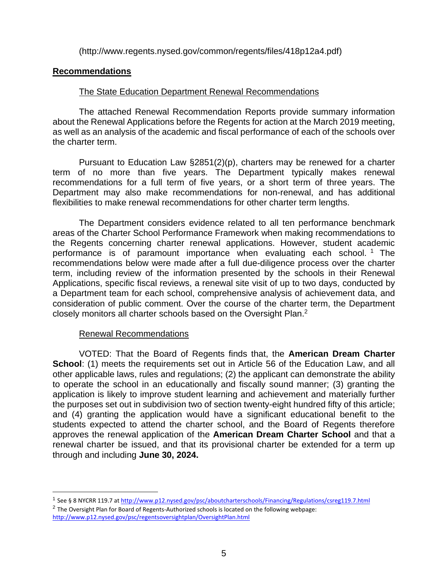(http://www.regents.nysed.gov/common/regents/files/418p12a4.pdf)

# **Recommendations**

# The State Education Department Renewal Recommendations

The attached Renewal Recommendation Reports provide summary information about the Renewal Applications before the Regents for action at the March 2019 meeting, as well as an analysis of the academic and fiscal performance of each of the schools over the charter term.

Pursuant to Education Law §2851(2)(p), charters may be renewed for a charter term of no more than five years. The Department typically makes renewal recommendations for a full term of five years, or a short term of three years. The Department may also make recommendations for non-renewal, and has additional flexibilities to make renewal recommendations for other charter term lengths.

The Department considers evidence related to all ten performance benchmark areas of the Charter School Performance Framework when making recommendations to the Regents concerning charter renewal applications. However, student academic performance is of paramount importance when evaluating each school.<sup>1</sup> The recommendations below were made after a full due-diligence process over the charter term, including review of the information presented by the schools in their Renewal Applications, specific fiscal reviews, a renewal site visit of up to two days, conducted by a Department team for each school, comprehensive analysis of achievement data, and consideration of public comment. Over the course of the charter term, the Department closely monitors all charter schools based on the Oversight Plan.<sup>2</sup>

# Renewal Recommendations

 $\overline{a}$ 

VOTED: That the Board of Regents finds that, the **American Dream Charter School:** (1) meets the requirements set out in Article 56 of the Education Law, and all other applicable laws, rules and regulations; (2) the applicant can demonstrate the ability to operate the school in an educationally and fiscally sound manner; (3) granting the application is likely to improve student learning and achievement and materially further the purposes set out in subdivision two of section twenty-eight hundred fifty of this article; and (4) granting the application would have a significant educational benefit to the students expected to attend the charter school, and the Board of Regents therefore approves the renewal application of the **American Dream Charter School** and that a renewal charter be issued, and that its provisional charter be extended for a term up through and including **June 30, 2024.**

<sup>&</sup>lt;sup>1</sup> See § 8 NYCRR 119.7 a[t http://www.p12.nysed.gov/psc/aboutcharterschools/Financing/Regulations/csreg119.7.html](http://www.p12.nysed.gov/psc/aboutcharterschools/Financing/Regulations/csreg119.7.html)

 $^2$  The Oversight Plan for Board of Regents-Authorized schools is located on the following webpage: <http://www.p12.nysed.gov/psc/regentsoversightplan/OversightPlan.html>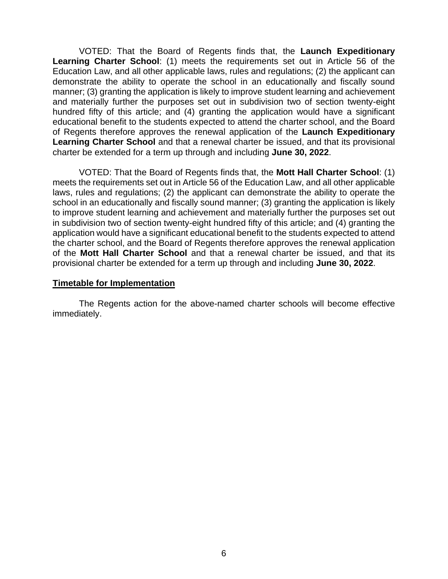VOTED: That the Board of Regents finds that, the **Launch Expeditionary Learning Charter School**: (1) meets the requirements set out in Article 56 of the Education Law, and all other applicable laws, rules and regulations; (2) the applicant can demonstrate the ability to operate the school in an educationally and fiscally sound manner; (3) granting the application is likely to improve student learning and achievement and materially further the purposes set out in subdivision two of section twenty-eight hundred fifty of this article; and (4) granting the application would have a significant educational benefit to the students expected to attend the charter school, and the Board of Regents therefore approves the renewal application of the **Launch Expeditionary Learning Charter School** and that a renewal charter be issued, and that its provisional charter be extended for a term up through and including **June 30, 2022**.

VOTED: That the Board of Regents finds that, the **Mott Hall Charter School**: (1) meets the requirements set out in Article 56 of the Education Law, and all other applicable laws, rules and regulations; (2) the applicant can demonstrate the ability to operate the school in an educationally and fiscally sound manner; (3) granting the application is likely to improve student learning and achievement and materially further the purposes set out in subdivision two of section twenty-eight hundred fifty of this article; and (4) granting the application would have a significant educational benefit to the students expected to attend the charter school, and the Board of Regents therefore approves the renewal application of the **Mott Hall Charter School** and that a renewal charter be issued, and that its provisional charter be extended for a term up through and including **June 30, 2022**.

## **Timetable for Implementation**

The Regents action for the above-named charter schools will become effective immediately.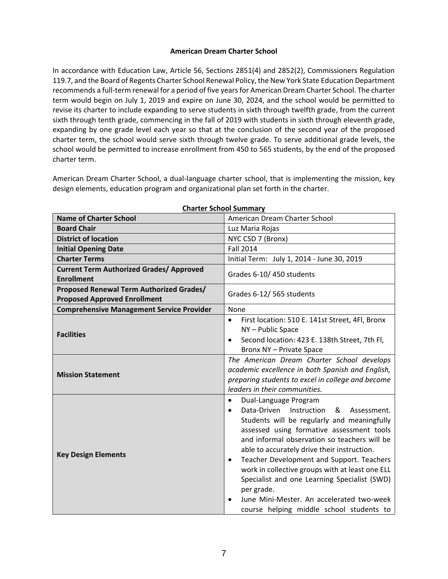## **American Dream Charter School**

In accordance with Education Law, Article 56, Sections 2851(4) and 2852(2), Commissioners Regulation 119.7, and the Board of Regents Charter School Renewal Policy, the New York State Education Department recommends a full-term renewal for a period of five years for American Dream Charter School. The charter term would begin on July 1, 2019 and expire on June 30, 2024, and the school would be permitted to revise its charter to include expanding to serve students in sixth through twelfth grade, from the current sixth through tenth grade, commencing in the fall of 2019 with students in sixth through eleventh grade, expanding by one grade level each year so that at the conclusion of the second year of the proposed charter term, the school would serve sixth through twelve grade. To serve additional grade levels, the school would be permitted to increase enrollment from 450 to 565 students, by the end of the proposed charter term.

American Dream Charter School, a dual-language charter school, that is implementing the mission, key design elements, education program and organizational plan set forth in the charter.

| <b>Name of Charter School</b>                                                   | American Dream Charter School                                                                                                                                                                                                                                                                                                                                                                                                                                                                                                                                 |  |  |  |
|---------------------------------------------------------------------------------|---------------------------------------------------------------------------------------------------------------------------------------------------------------------------------------------------------------------------------------------------------------------------------------------------------------------------------------------------------------------------------------------------------------------------------------------------------------------------------------------------------------------------------------------------------------|--|--|--|
| <b>Board Chair</b>                                                              | Luz Maria Rojas                                                                                                                                                                                                                                                                                                                                                                                                                                                                                                                                               |  |  |  |
| <b>District of location</b>                                                     | NYC CSD 7 (Bronx)                                                                                                                                                                                                                                                                                                                                                                                                                                                                                                                                             |  |  |  |
| <b>Initial Opening Date</b>                                                     | <b>Fall 2014</b>                                                                                                                                                                                                                                                                                                                                                                                                                                                                                                                                              |  |  |  |
| <b>Charter Terms</b>                                                            | Initial Term: July 1, 2014 - June 30, 2019                                                                                                                                                                                                                                                                                                                                                                                                                                                                                                                    |  |  |  |
| <b>Current Term Authorized Grades/ Approved</b><br><b>Enrollment</b>            | Grades 6-10/450 students                                                                                                                                                                                                                                                                                                                                                                                                                                                                                                                                      |  |  |  |
| Proposed Renewal Term Authorized Grades/<br><b>Proposed Approved Enrollment</b> | Grades 6-12/565 students                                                                                                                                                                                                                                                                                                                                                                                                                                                                                                                                      |  |  |  |
| <b>Comprehensive Management Service Provider</b>                                | None                                                                                                                                                                                                                                                                                                                                                                                                                                                                                                                                                          |  |  |  |
| <b>Facilities</b>                                                               | First location: 510 E. 141st Street, 4Fl, Bronx<br>$\bullet$<br>NY-Public Space<br>Second location: 423 E. 138th Street, 7th Fl,<br>$\bullet$<br>Bronx NY - Private Space                                                                                                                                                                                                                                                                                                                                                                                     |  |  |  |
| <b>Mission Statement</b>                                                        | The American Dream Charter School develops<br>academic excellence in both Spanish and English,<br>preparing students to excel in college and become<br>leaders in their communities.                                                                                                                                                                                                                                                                                                                                                                          |  |  |  |
| <b>Key Design Elements</b>                                                      | Dual-Language Program<br>$\bullet$<br>Data-Driven Instruction<br>&<br>Assessment.<br>$\bullet$<br>Students will be regularly and meaningfully<br>assessed using formative assessment tools<br>and informal observation so teachers will be<br>able to accurately drive their instruction.<br>Teacher Development and Support. Teachers<br>$\bullet$<br>work in collective groups with at least one ELL<br>Specialist and one Learning Specialist (SWD)<br>per grade.<br>June Mini-Mester. An accelerated two-week<br>course helping middle school students to |  |  |  |

**Charter School Summary**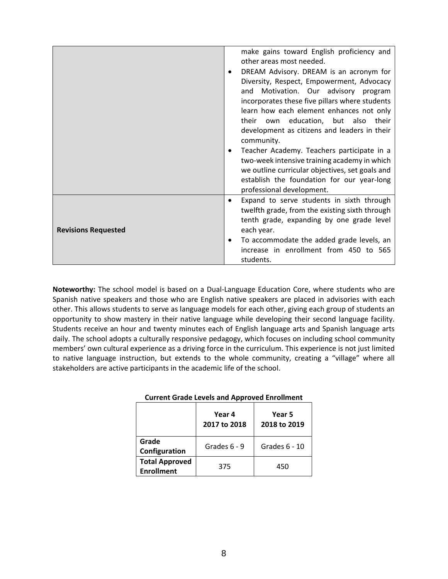|                            |                                                                                                          | make gains toward English proficiency and       |  |  |  |
|----------------------------|----------------------------------------------------------------------------------------------------------|-------------------------------------------------|--|--|--|
|                            |                                                                                                          | other areas most needed.                        |  |  |  |
|                            |                                                                                                          |                                                 |  |  |  |
|                            |                                                                                                          | DREAM Advisory. DREAM is an acronym for         |  |  |  |
|                            |                                                                                                          | Diversity, Respect, Empowerment, Advocacy       |  |  |  |
|                            |                                                                                                          | and Motivation. Our advisory program            |  |  |  |
|                            |                                                                                                          | incorporates these five pillars where students  |  |  |  |
|                            |                                                                                                          | learn how each element enhances not only        |  |  |  |
|                            |                                                                                                          | their own education, but also their             |  |  |  |
|                            |                                                                                                          | development as citizens and leaders in their    |  |  |  |
|                            | community.<br>Teacher Academy. Teachers participate in a<br>two-week intensive training academy in which |                                                 |  |  |  |
|                            |                                                                                                          |                                                 |  |  |  |
|                            |                                                                                                          |                                                 |  |  |  |
|                            |                                                                                                          |                                                 |  |  |  |
|                            |                                                                                                          | we outline curricular objectives, set goals and |  |  |  |
|                            |                                                                                                          | establish the foundation for our year-long      |  |  |  |
|                            |                                                                                                          | professional development.                       |  |  |  |
|                            | $\bullet$                                                                                                | Expand to serve students in sixth through       |  |  |  |
|                            |                                                                                                          | twelfth grade, from the existing sixth through  |  |  |  |
|                            |                                                                                                          | tenth grade, expanding by one grade level       |  |  |  |
| <b>Revisions Requested</b> |                                                                                                          | each year.                                      |  |  |  |
|                            | ٠                                                                                                        | To accommodate the added grade levels, an       |  |  |  |
|                            |                                                                                                          |                                                 |  |  |  |
|                            |                                                                                                          | increase in enrollment from 450 to 565          |  |  |  |
|                            |                                                                                                          | students.                                       |  |  |  |

**Noteworthy:** The school model is based on a Dual-Language Education Core, where students who are Spanish native speakers and those who are English native speakers are placed in advisories with each other. This allows students to serve as language models for each other, giving each group of students an opportunity to show mastery in their native language while developing their second language facility. Students receive an hour and twenty minutes each of English language arts and Spanish language arts daily. The school adopts a culturally responsive pedagogy, which focuses on including school community members' own cultural experience as a driving force in the curriculum. This experience is not just limited to native language instruction, but extends to the whole community, creating a "village" where all stakeholders are active participants in the academic life of the school.

|                                            | Year 4<br>2017 to 2018 | Year 5<br>2018 to 2019 |  |
|--------------------------------------------|------------------------|------------------------|--|
| Grade<br>Configuration                     | Grades 6 - 9           | Grades 6 - 10          |  |
| <b>Total Approved</b><br><b>Enrollment</b> | 375                    | 450                    |  |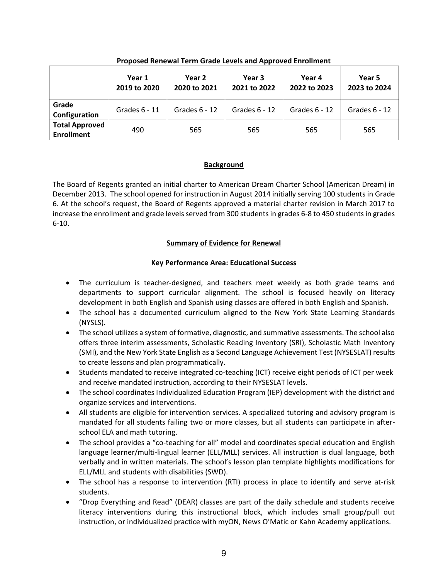| . .                                        |                        |                        |                        |                        |                        |  |  |  |
|--------------------------------------------|------------------------|------------------------|------------------------|------------------------|------------------------|--|--|--|
|                                            | Year 1<br>2019 to 2020 | Year 2<br>2020 to 2021 | Year 3<br>2021 to 2022 | Year 4<br>2022 to 2023 | Year 5<br>2023 to 2024 |  |  |  |
| Grade<br>Configuration                     | Grades $6 - 11$        | Grades $6 - 12$        | Grades $6 - 12$        | Grades $6 - 12$        | Grades $6 - 12$        |  |  |  |
| <b>Total Approved</b><br><b>Enrollment</b> | 490                    | 565                    | 565                    | 565                    | 565                    |  |  |  |

**Proposed Renewal Term Grade Levels and Approved Enrollment**

## **Background**

The Board of Regents granted an initial charter to American Dream Charter School (American Dream) in December 2013. The school opened for instruction in August 2014 initially serving 100 students in Grade 6. At the school's request, the Board of Regents approved a material charter revision in March 2017 to increase the enrollment and grade levels served from 300 students in grades 6-8 to 450 students in grades 6-10.

## **Summary of Evidence for Renewal**

## **Key Performance Area: Educational Success**

- The curriculum is teacher-designed, and teachers meet weekly as both grade teams and departments to support curricular alignment. The school is focused heavily on literacy development in both English and Spanish using classes are offered in both English and Spanish.
- The school has a documented curriculum aligned to the New York State Learning Standards (NYSLS).
- The school utilizes a system of formative, diagnostic, and summative assessments. The school also offers three interim assessments, Scholastic Reading Inventory (SRI), Scholastic Math Inventory (SMI), and the New York State English as a Second Language Achievement Test (NYSESLAT) results to create lessons and plan programmatically.
- Students mandated to receive integrated co-teaching (ICT) receive eight periods of ICT per week and receive mandated instruction, according to their NYSESLAT levels.
- The school coordinates Individualized Education Program (IEP) development with the district and organize services and interventions.
- All students are eligible for intervention services. A specialized tutoring and advisory program is mandated for all students failing two or more classes, but all students can participate in afterschool ELA and math tutoring.
- The school provides a "co-teaching for all" model and coordinates special education and English language learner/multi-lingual learner (ELL/MLL) services. All instruction is dual language, both verbally and in written materials. The school's lesson plan template highlights modifications for ELL/MLL and students with disabilities (SWD).
- The school has a response to intervention (RTI) process in place to identify and serve at-risk students.
- "Drop Everything and Read" (DEAR) classes are part of the daily schedule and students receive literacy interventions during this instructional block, which includes small group/pull out instruction, or individualized practice with myON, News O'Matic or Kahn Academy applications.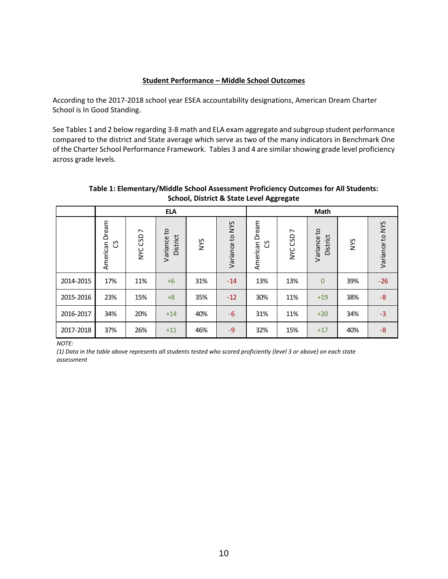#### **Student Performance – Middle School Outcomes**

According to the 2017-2018 school year ESEA accountability designations, American Dream Charter School is In Good Standing.

See Tables 1 and 2 below regarding 3-8 math and ELA exam aggregate and subgroup student performance compared to the district and State average which serve as two of the many indicators in Benchmark One of the Charter School Performance Framework. Tables 3 and 4 are similar showing grade level proficiency across grade levels.

|                            |                                                                                                                     |          | <b>ELA</b>              |            |                 | <b>Math</b>            |          |                         |            |                 |
|----------------------------|---------------------------------------------------------------------------------------------------------------------|----------|-------------------------|------------|-----------------|------------------------|----------|-------------------------|------------|-----------------|
|                            | Dream<br>American<br>უ                                                                                              | NYC CSD7 | Variance to<br>District | <b>SAN</b> | Variance to NYS | Dream<br>American<br>უ | NYC CSD7 | Variance to<br>District | <b>NYS</b> | Variance to NYS |
| 2014-2015                  | 17%                                                                                                                 | 11%      | $+6$                    | 31%        | $-14$           | 13%                    | 13%      | $\overline{0}$          | 39%        | $-26$           |
| 2015-2016                  | 23%                                                                                                                 | 15%      | $+8$                    | 35%        | $-12$           | 30%                    | 11%      | $+19$                   | 38%        | $-8$            |
| 2016-2017                  | 34%                                                                                                                 | 20%      | $+14$                   | 40%        | $-6$            | 31%                    | 11%      | $+20$                   | 34%        | $-3$            |
| 2017-2018                  | 37%                                                                                                                 | 26%      | $+11$                   | 46%        | $-9$            | 32%                    | 15%      | $+17$                   | 40%        | $-8$            |
| <b>NOTE:</b><br>assessment | (1) Data in the table above represents all students tested who scored proficiently (level 3 or above) on each state |          |                         |            |                 |                        |          |                         |            |                 |

## **Table 1: Elementary/Middle School Assessment Proficiency Outcomes for All Students: School, District & State Level Aggregate**

*NOTE:*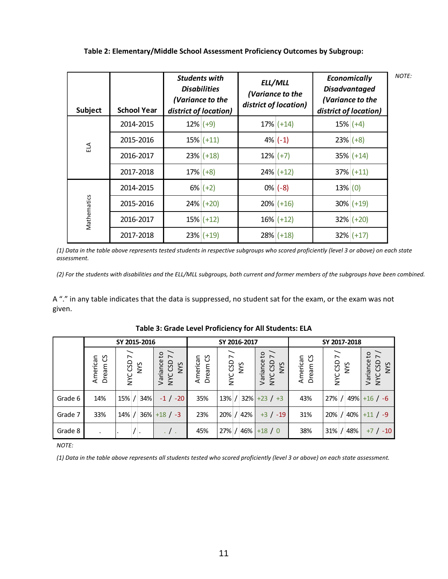| Subject     | <b>School Year</b> | <b>Students with</b><br><b>Disabilities</b><br>(Variance to the<br>district of location) | ELL/MLL<br>(Variance to the<br>district of location) | Economically<br><b>Disadvantaged</b><br>(Variance to the<br>district of location) | <b>NOTE:</b> |
|-------------|--------------------|------------------------------------------------------------------------------------------|------------------------------------------------------|-----------------------------------------------------------------------------------|--------------|
|             | 2014-2015          | $12\%$ (+9)                                                                              | $17\%$ (+14)                                         | $15\%$ (+4)                                                                       |              |
| ELA         | 2015-2016          | $15\%$ (+11)                                                                             | $4\%$ (-1)                                           | $23\%$ (+8)                                                                       |              |
|             | 2016-2017          | $23\%$ (+18)                                                                             | $12\%$ (+7)                                          | $35\%$ (+14)                                                                      |              |
|             | 2017-2018          | $17\%$ (+8)                                                                              | $24\%$ (+12)                                         | $37\%$ (+11)                                                                      |              |
|             | 2014-2015          | $6\%$ (+2)                                                                               | $0\%$ (-8)                                           | 13%(0)                                                                            |              |
| Mathematics | 2015-2016          | $24\%$ (+20)                                                                             | $20\%$ (+16)                                         | $30\%$ (+19)                                                                      |              |
|             | 2016-2017          | $15\%$ (+12)                                                                             | $16\%$ (+12)                                         | $32\%$ (+20)                                                                      |              |
|             | 2017-2018          | $23\%$ (+19)                                                                             | $28\%$ (+18)                                         | $32\%$ (+17)                                                                      |              |

**Table 2: Elementary/Middle School Assessment Proficiency Outcomes by Subgroup:**

*(1) Data in the table above represents tested students in respective subgroups who scored proficiently (level 3 or above) on each state assessment.*

(2) For the students with disabilities and the ELL/MLL subgroups, both current and former members of the subgroups have been combined.

A "." in any table indicates that the data is suppressed, no student sat for the exam, or the exam was not given.

|              |                                 | SY 2015-2016                                                                                                                    |                                                                |                               | SY 2016-2017    |                                                                     | SY 2017-2018                    |                        |                                                           |
|--------------|---------------------------------|---------------------------------------------------------------------------------------------------------------------------------|----------------------------------------------------------------|-------------------------------|-----------------|---------------------------------------------------------------------|---------------------------------|------------------------|-----------------------------------------------------------|
|              | Dream <sub>CS</sub><br>American | $\overline{ }$<br>NYC CSD <sup>-</sup><br>NYS                                                                                   | $\mathsf{c}_1$<br>$\overline{a}$<br>Variance<br>NYC CSD<br>NYS | <u>ვ</u><br>American<br>Dream | NYC CSD 7       | $\mathsf{c}$<br>$\overline{ }$<br>Variance<br>NYC CSD<br><b>SAN</b> | Dream <sub>CS</sub><br>American | NYC CSD7<br>Š          | ٥,<br>$\overline{ }$<br>Variance<br>NYC CSD<br><b>SAN</b> |
| Grade 6      | 14%                             | 34%<br>15% /                                                                                                                    | $-1$ / $-20$                                                   | 35%                           | $13%$ /         | $32\%$ +23 / +3                                                     | 43%                             | $27\%$ / 49% + 16 / -6 |                                                           |
| Grade 7      | 33%                             | 14%<br>$\prime$                                                                                                                 | $36\% + 18$ / -3                                               | 23%                           | 42%<br>$20\%$ / | $+3$ / $-19$                                                        | 31%                             | 20% / 40%              | $+11 / -9$                                                |
| Grade 8      |                                 |                                                                                                                                 | . / .                                                          | 45%                           | 27% /<br>46%    | $+18/0$                                                             | 38%                             | $31\%$ / 48%           | $+7$ / $-10$                                              |
| <b>NOTE:</b> |                                 |                                                                                                                                 |                                                                |                               |                 |                                                                     |                                 |                        |                                                           |
|              |                                 | (1) Data in the table above represents all students tested who scored proficiently (level 3 or above) on each state assessment. |                                                                |                               |                 |                                                                     |                                 |                        |                                                           |

|  | Table 3: Grade Level Proficiency for All Students: ELA |
|--|--------------------------------------------------------|
|--|--------------------------------------------------------|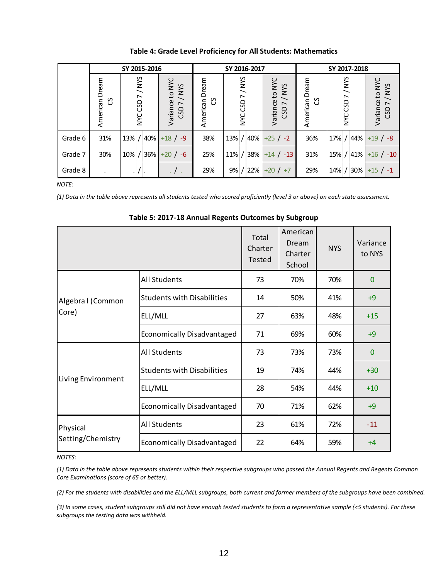|          |                             | SY 2015-2016           |                                                            |                        | SY 2016-2017            |                                       | SY 2017-2018        |                            |                                              |
|----------|-----------------------------|------------------------|------------------------------------------------------------|------------------------|-------------------------|---------------------------------------|---------------------|----------------------------|----------------------------------------------|
|          | Dream<br>American<br>უ<br>ე | NYC CSD 7 / NYS        | Variance to NYC<br>/NYS<br>$\overline{\phantom{a}}$<br>CSD | Dream<br>უ<br>American | NYC CSD 7 / NYS         | Variance to NYC<br><b>SAN/</b><br>CSD | American Dream<br>უ | /NYS<br>CSD7<br><b>SAN</b> | Variance to NYC<br>/ NYS<br>CSD <sub>7</sub> |
| Grade 6  | 31%                         | $13\%$ / 40% + 18 / -9 |                                                            | 38%                    | $13\%$ / 40% +25 / -2   |                                       | 36%                 | $17\%$ / 44%               | $+19/ -8$                                    |
| Grade 7  | 30%                         | $10\%$ / 36% +20 / -6  |                                                            | 25%                    | $11\%$ / 38% + 14 / -13 |                                       | 31%                 | $15\%$ / 41%               | $+16$ / $-10$                                |
| Grade 8  | $\bullet$                   |                        | . / .                                                      | 29%                    | $9\%$ / 22% +20 / +7    |                                       | 29%                 | 14% / 30%                  | $+15$ / $-1$                                 |
| $MOTF^+$ |                             |                        |                                                            |                        |                         |                                       |                     |                            |                                              |

#### **Table 4: Grade Level Proficiency for All Students: Mathematics**

*NOTE:*

*(1) Data in the table above represents all students tested who scored proficiently (level 3 or above) on each state assessment.*

Total Charter Tested American Dream Charter School NYS Variance to NYS All Students 73 70% 70% 0 Students with Disabilities  $\begin{vmatrix} 14 & 50\% & 41\% \\ 1 & -9 & -1 \end{vmatrix}$ ELL/MLL 27 63% 48% +15 Economically Disadvantaged  $\begin{vmatrix} 71 & 69\% & 60\% \end{vmatrix}$  +9 All Students 1 73 73% 73% 0 Students with Disabilities  $\begin{vmatrix} 19 & 74\% & 44\% \\ 1 & 30 & 1 \end{vmatrix}$ ELL/MLL 28 | 54% | 44% | +10 Economically Disadvantaged  $\begin{vmatrix} 70 & 71\% & 62\% \end{vmatrix}$  +9 All Students 1 23 61% 72% -11 Economically Disadvantaged  $\begin{vmatrix} 22 & 64\% & 59\% \end{vmatrix}$  +4 Algebra I (Common Core) Living Environment Physical Setting Chemistry American Dream Corresponding to the state of the contents of the contents of the contents of the contents of the contents of the contents of the contents of the contents of the contents of the contents o

**Table 5: 2017-18 Annual Regents Outcomes by Subgroup**

#### *NOTES:*

*(1) Data in the table above represents students within their respective subgroups who passed the Annual Regents and Regents Common Core Examinations (score of 65 or better).*

(2) For the students with disabilities and the ELL/MLL subgroups, both current and former members of the subgroups have been combined.

*(3) In some cases, student subgroups still did not have enough tested students to form a representative sample (<5 students). For these subgroups the testing data was withheld.*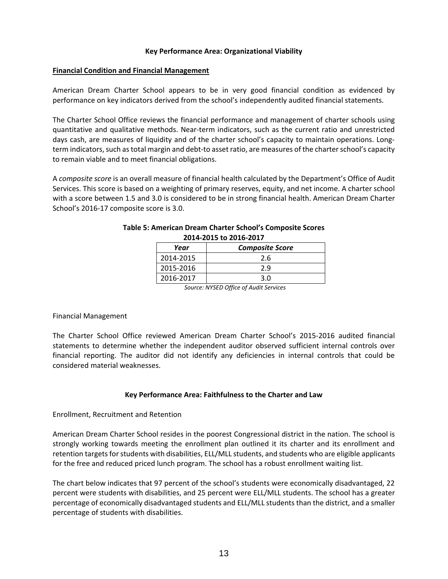#### **Key Performance Area: Organizational Viability**

#### **Financial Condition and Financial Management**

American Dream Charter School appears to be in very good financial condition as evidenced by performance on key indicators derived from the school's independently audited financial statements.

The Charter School Office reviews the financial performance and management of charter schools using quantitative and qualitative methods. Near‐term indicators, such as the current ratio and unrestricted days cash, are measures of liquidity and of the charter school's capacity to maintain operations. Long‐ term indicators, such as total margin and debt-to asset ratio, are measures of the charter school's capacity to remain viable and to meet financial obligations.

A *composite score* is an overall measure of financial health calculated by the Department's Office of Audit Services. This score is based on a weighting of primary reserves, equity, and net income. A charter school with a score between 1.5 and 3.0 is considered to be in strong financial health. American Dream Charter School's 2016-17 composite score is 3.0.

| Year      | <b>Composite Score</b> |  |  |  |  |
|-----------|------------------------|--|--|--|--|
| 2014-2015 | 2.6                    |  |  |  |  |
| 2015-2016 | 2.9                    |  |  |  |  |
| 2016-2017 | 3.0                    |  |  |  |  |
|           |                        |  |  |  |  |

## **Table 5: American Dream Charter School's Composite Scores 2014-2015 to 2016-2017**

*Source: NYSED Office of Audit Services*

## Financial Management

The Charter School Office reviewed American Dream Charter School's 2015-2016 audited financial statements to determine whether the independent auditor observed sufficient internal controls over financial reporting. The auditor did not identify any deficiencies in internal controls that could be considered material weaknesses.

## **Key Performance Area: Faithfulness to the Charter and Law**

## Enrollment, Recruitment and Retention

American Dream Charter School resides in the poorest Congressional district in the nation. The school is strongly working towards meeting the enrollment plan outlined it its charter and its enrollment and retention targets for students with disabilities, ELL/MLL students, and students who are eligible applicants for the free and reduced priced lunch program. The school has a robust enrollment waiting list.

The chart below indicates that 97 percent of the school's students were economically disadvantaged, 22 percent were students with disabilities, and 25 percent were ELL/MLL students. The school has a greater percentage of economically disadvantaged students and ELL/MLL students than the district, and a smaller percentage of students with disabilities.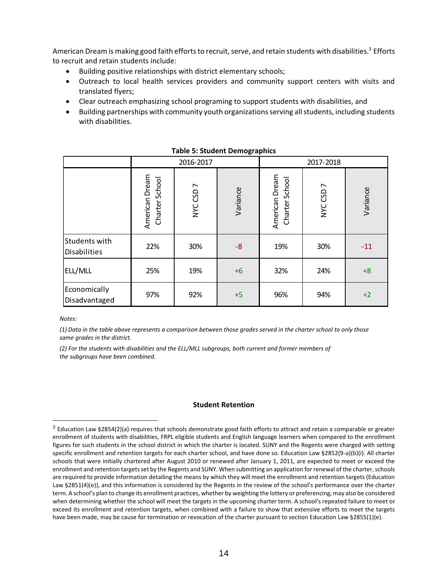American Dream is making good faith efforts to recruit, serve, and retain students with disabilities. $^3$  Efforts to recruit and retain students include:

- Building positive relationships with district elementary schools;
- Outreach to local health services providers and community support centers with visits and translated flyers;
- Clear outreach emphasizing school programing to support students with disabilities, and
- Building partnerships with community youth organizations serving all students, including students with disabilities.

|                                      |                                  | 2016-2017 |          | 2017-2018                        |           |          |
|--------------------------------------|----------------------------------|-----------|----------|----------------------------------|-----------|----------|
|                                      | American Dream<br>Charter School | NYC CSD7  | Variance | American Dream<br>Charter School | NYC CSD 7 | Variance |
| Students with<br><b>Disabilities</b> | 22%                              | 30%       | $-8$     | 19%                              | 30%       | $-11$    |
| ELL/MLL                              | 25%                              | 19%       | $+6$     | 32%                              | 24%       | $+8$     |
| Economically<br>Disadvantaged        | 97%                              | 92%       | $+5$     | 96%                              | 94%       | $+2$     |

**Table 5: Student Demographics** 

*Notes:* 

 $\overline{a}$ 

*(1) Data in the table above represents a comparison between those grades served in the charter school to only those same grades in the district.*

*(2) For the students with disabilities and the ELL/MLL subgroups, both current and former members of the subgroups have been combined.*

## **Student Retention**

 $^3$  Education Law §2854(2)(a) requires that schools demonstrate good faith efforts to attract and retain a comparable or greater enrollment of students with disabilities, FRPL eligible students and English language learners when compared to the enrollment figures for such students in the school district in which the charter is located. SUNY and the Regents were charged with setting specific enrollment and retention targets for each charter school, and have done so. Education Law §2852(9-a)(b)(i). All charter schools that were initially chartered after August 2010 or renewed after January 1, 2011, are expected to meet or exceed the enrollment and retention targets set by the Regents and SUNY. When submitting an application for renewal of the charter, schools are required to provide information detailing the means by which they will meet the enrollment and retention targets (Education Law §2851(4)(e)), and this information is considered by the Regents in the review of the school's performance over the charter term. A school's plan to change its enrollment practices, whether by weighting the lottery or preferencing, may also be considered when determining whether the school will meet the targets in the upcoming charter term. A school's repeated failure to meet or exceed its enrollment and retention targets, when combined with a failure to show that extensive efforts to meet the targets have been made, may be cause for termination or revocation of the charter pursuant to section Education Law §2855(1)(e).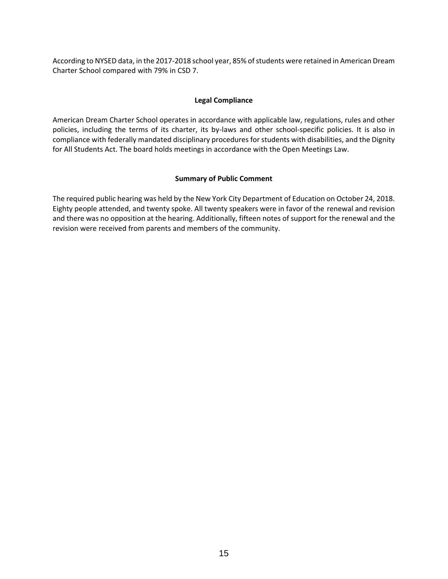According to NYSED data, in the 2017-2018 school year, 85% of students were retained in American Dream Charter School compared with 79% in CSD 7.

## **Legal Compliance**

American Dream Charter School operates in accordance with applicable law, regulations, rules and other policies, including the terms of its charter, its by-laws and other school-specific policies. It is also in compliance with federally mandated disciplinary procedures for students with disabilities, and the Dignity for All Students Act. The board holds meetings in accordance with the Open Meetings Law.

## **Summary of Public Comment**

The required public hearing was held by the New York City Department of Education on October 24, 2018. Eighty people attended, and twenty spoke. All twenty speakers were in favor of the renewal and revision and there was no opposition at the hearing. Additionally, fifteen notes of support for the renewal and the revision were received from parents and members of the community.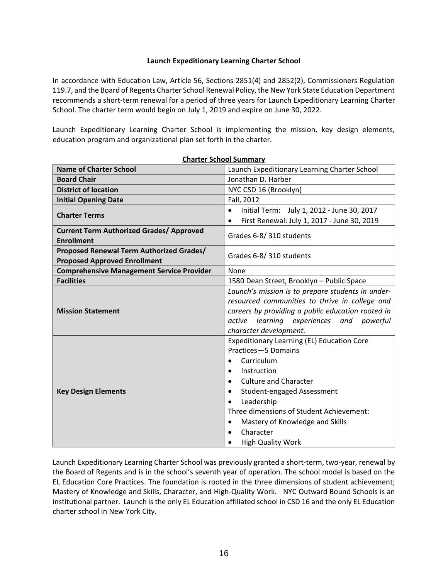## **Launch Expeditionary Learning Charter School**

In accordance with Education Law, Article 56, Sections 2851(4) and 2852(2), Commissioners Regulation 119.7, and the Board of Regents Charter School Renewal Policy, the New York State Education Department recommends a short-term renewal for a period of three years for Launch Expeditionary Learning Charter School. The charter term would begin on July 1, 2019 and expire on June 30, 2022.

Launch Expeditionary Learning Charter School is implementing the mission, key design elements, education program and organizational plan set forth in the charter.

| <b>Name of Charter School</b>                    | י ומותחומי וטטווטה וטוונ<br>Launch Expeditionary Learning Charter School |  |  |  |
|--------------------------------------------------|--------------------------------------------------------------------------|--|--|--|
| <b>Board Chair</b>                               | Jonathan D. Harber                                                       |  |  |  |
| <b>District of location</b>                      | NYC CSD 16 (Brooklyn)                                                    |  |  |  |
| <b>Initial Opening Date</b>                      | Fall, 2012                                                               |  |  |  |
|                                                  | Initial Term: July 1, 2012 - June 30, 2017<br>$\bullet$                  |  |  |  |
| <b>Charter Terms</b>                             | First Renewal: July 1, 2017 - June 30, 2019                              |  |  |  |
| <b>Current Term Authorized Grades/ Approved</b>  | Grades 6-8/310 students                                                  |  |  |  |
| <b>Enrollment</b>                                |                                                                          |  |  |  |
| Proposed Renewal Term Authorized Grades/         | Grades 6-8/310 students                                                  |  |  |  |
| <b>Proposed Approved Enrollment</b>              |                                                                          |  |  |  |
| <b>Comprehensive Management Service Provider</b> | None                                                                     |  |  |  |
| <b>Facilities</b>                                | 1580 Dean Street, Brooklyn - Public Space                                |  |  |  |
|                                                  | Launch's mission is to prepare students in under-                        |  |  |  |
|                                                  | resourced communities to thrive in college and                           |  |  |  |
| <b>Mission Statement</b>                         | careers by providing a public education rooted in                        |  |  |  |
|                                                  | active learning experiences and powerful<br>character development.       |  |  |  |
|                                                  | <b>Expeditionary Learning (EL) Education Core</b>                        |  |  |  |
|                                                  | Practices-5 Domains                                                      |  |  |  |
|                                                  | Curriculum                                                               |  |  |  |
|                                                  | Instruction                                                              |  |  |  |
|                                                  | <b>Culture and Character</b><br>$\bullet$                                |  |  |  |
| <b>Key Design Elements</b>                       | Student-engaged Assessment<br>$\bullet$                                  |  |  |  |
|                                                  | Leadership                                                               |  |  |  |
|                                                  | Three dimensions of Student Achievement:                                 |  |  |  |
|                                                  | Mastery of Knowledge and Skills<br>$\bullet$                             |  |  |  |
|                                                  | Character<br>$\bullet$                                                   |  |  |  |
|                                                  | <b>High Quality Work</b>                                                 |  |  |  |

**Charter School Summary**

Launch Expeditionary Learning Charter School was previously granted a short-term, two-year, renewal by the Board of Regents and is in the school's seventh year of operation. The school model is based on the EL Education Core Practices. The foundation is rooted in the three dimensions of student achievement; Mastery of Knowledge and Skills, Character, and High-Quality Work. NYC Outward Bound Schools is an institutional partner. Launch is the only EL Education affiliated school in CSD 16 and the only EL Education charter school in New York City.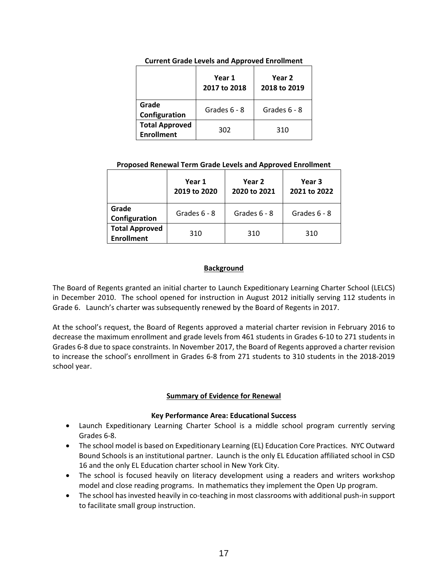|                                            | Year 1<br>2017 to 2018 | Year 2<br>2018 to 2019 |  |  |
|--------------------------------------------|------------------------|------------------------|--|--|
| Grade<br>Configuration                     | Grades 6 - 8           | Grades 6 - 8           |  |  |
| <b>Total Approved</b><br><b>Enrollment</b> | 302                    | 310                    |  |  |

#### **Current Grade Levels and Approved Enrollment**

## **Proposed Renewal Term Grade Levels and Approved Enrollment**

|                                            | Year 1<br>2019 to 2020 | Year 2<br>2020 to 2021 | Year 3<br>2021 to 2022 |  |
|--------------------------------------------|------------------------|------------------------|------------------------|--|
| Grade<br>Configuration                     | Grades 6 - 8           | Grades $6 - 8$         | Grades $6 - 8$         |  |
| <b>Total Approved</b><br><b>Enrollment</b> | 310                    | 310                    | 310                    |  |

## **Background**

The Board of Regents granted an initial charter to Launch Expeditionary Learning Charter School (LELCS) in December 2010. The school opened for instruction in August 2012 initially serving 112 students in Grade 6. Launch's charter was subsequently renewed by the Board of Regents in 2017.

At the school's request, the Board of Regents approved a material charter revision in February 2016 to decrease the maximum enrollment and grade levels from 461 students in Grades 6-10 to 271 students in Grades 6-8 due to space constraints. In November 2017, the Board of Regents approved a charter revision to increase the school's enrollment in Grades 6-8 from 271 students to 310 students in the 2018-2019 school year.

## **Summary of Evidence for Renewal**

## **Key Performance Area: Educational Success**

- Launch Expeditionary Learning Charter School is a middle school program currently serving Grades 6-8.
- The school model is based on Expeditionary Learning (EL) Education Core Practices. NYC Outward Bound Schools is an institutional partner. Launch is the only EL Education affiliated school in CSD 16 and the only EL Education charter school in New York City.
- The school is focused heavily on literacy development using a readers and writers workshop model and close reading programs. In mathematics they implement the Open Up program.
- The school has invested heavily in co-teaching in most classrooms with additional push-in support to facilitate small group instruction.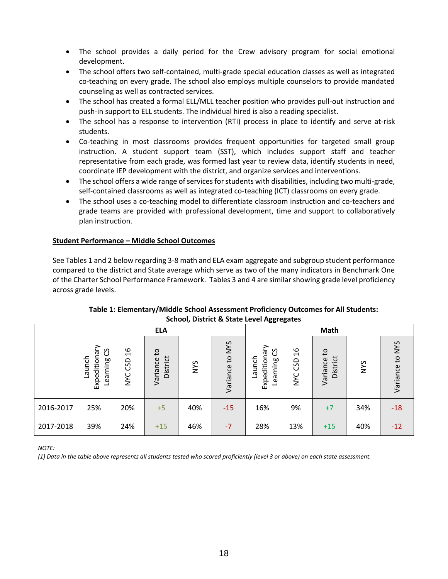- The school provides a daily period for the Crew advisory program for social emotional development.
- The school offers two self-contained, multi-grade special education classes as well as integrated co-teaching on every grade. The school also employs multiple counselors to provide mandated counseling as well as contracted services.
- The school has created a formal ELL/MLL teacher position who provides pull-out instruction and push-in support to ELL students. The individual hired is also a reading specialist.
- The school has a response to intervention (RTI) process in place to identify and serve at-risk students.
- Co-teaching in most classrooms provides frequent opportunities for targeted small group instruction. A student support team (SST), which includes support staff and teacher representative from each grade, was formed last year to review data, identify students in need, coordinate IEP development with the district, and organize services and interventions.
- The school offers a wide range of services for students with disabilities, including two multi-grade, self-contained classrooms as well as integrated co-teaching (ICT) classrooms on every grade.
- The school uses a co-teaching model to differentiate classroom instruction and co-teachers and grade teams are provided with professional development, time and support to collaboratively plan instruction.

## **Student Performance – Middle School Outcomes**

See Tables 1 and 2 below regarding 3-8 math and ELA exam aggregate and subgroup student performance compared to the district and State average which serve as two of the many indicators in Benchmark One of the Charter School Performance Framework. Tables 3 and 4 are similar showing grade level proficiency across grade levels.

| Scribbi, District & State Lever Aggregates |                                          |                                    |                            |            |                 |                                               |                                    |                                      |            |                 |
|--------------------------------------------|------------------------------------------|------------------------------------|----------------------------|------------|-----------------|-----------------------------------------------|------------------------------------|--------------------------------------|------------|-----------------|
|                                            |                                          |                                    | <b>ELA</b>                 |            |                 | Math                                          |                                    |                                      |            |                 |
|                                            | Expeditionary<br>უ<br>Launch<br>Learning | $\frac{9}{2}$<br>CSD<br><b>NAC</b> | Ο,<br>District<br>Variance | <b>NYS</b> | Variance to NYS | Expeditionary<br>უ<br>ე<br>Launch<br>Learning | $\frac{9}{2}$<br>CSD<br><b>NYC</b> | $\mathsf{c}$<br>District<br>Variance | <b>NYS</b> | Variance to NYS |
| 2016-2017                                  | 25%                                      | 20%                                | $+5$                       | 40%        | $-15$           | 16%                                           | 9%                                 | $+7$                                 | 34%        | $-18$           |
| 2017-2018                                  | 39%                                      | 24%                                | $+15$                      | 46%        | $-7$            | 28%                                           | 13%                                | $+15$                                | 40%        | $-12$           |

## **Table 1: Elementary/Middle School Assessment Proficiency Outcomes for All Students: School, District & State Level Aggregates**

*NOTE:*

*(1) Data in the table above represents all students tested who scored proficiently (level 3 or above) on each state assessment.*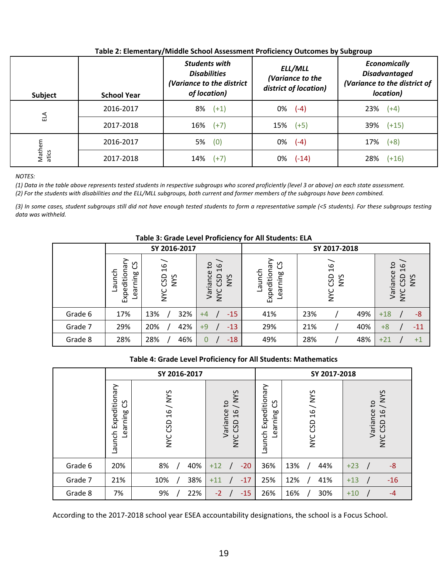| Subject         | <b>School Year</b> | <b>Students with</b><br><b>Disabilities</b><br>(Variance to the district<br>of location) | ELL/MLL<br>(Variance to the<br>district of location) | <b>Economically</b><br><b>Disadvantaged</b><br>(Variance to the district of<br>location) |
|-----------------|--------------------|------------------------------------------------------------------------------------------|------------------------------------------------------|------------------------------------------------------------------------------------------|
|                 | 2016-2017          | $8\%$ $(+1)$                                                                             | $0\%$ (-4)                                           | 23%<br>$(+4)$                                                                            |
| 马               | 2017-2018          | $16\%$ (+7)                                                                              | $15\%$ (+5)                                          | 39%<br>$(+15)$                                                                           |
|                 | 2016-2017          | $5\%$ (0)                                                                                | 0%<br>$(-4)$                                         | 17%<br>$(+8)$                                                                            |
| Mathem<br>atics | 2017-2018          | 14%<br>$(+7)$                                                                            | 0%<br>$(-14)$                                        | 28%<br>$(+16)$                                                                           |

## **Table 2: Elementary/Middle School Assessment Proficiency Outcomes by Subgroup**

*NOTES:*

*(1) Data in the table above represents tested students in respective subgroups who scored proficiently (level 3 or above) on each state assessment.* (2) For the students with disabilities and the ELL/MLL subgroups, both current and former members of the subgroups have been combined.

*(3) In some cases, student subgroups still did not have enough tested students to form a representative sample (<5 students). For these subgroups testing data was withheld.*

| Table 3: Grade Level Proficiency for All Students: ELA |                                            |                                           |                                                                                                                         |                                         |                                   |                                                                    |  |  |
|--------------------------------------------------------|--------------------------------------------|-------------------------------------------|-------------------------------------------------------------------------------------------------------------------------|-----------------------------------------|-----------------------------------|--------------------------------------------------------------------|--|--|
|                                                        |                                            | SY 2016-2017                              |                                                                                                                         | SY 2017-2018                            |                                   |                                                                    |  |  |
|                                                        | უ<br>Expeditionar<br>Launch<br>arning<br>ق | $\frac{9}{2}$<br>CSD<br><b>NVS</b><br>VNC | $\mathsf{c}$<br>$\circ$<br>$\overline{\phantom{0}}$<br>$\mathbb U$<br>Varianc<br><b>SAN</b><br><b>GSD</b><br><b>NAC</b> | უ<br>Expeditionar<br>Launch<br>Learning | $\frac{9}{2}$<br>GSD<br>SAIN<br>ž | °4<br>$\frac{9}{2}$<br>Variance<br>CSD<br><b>NYS</b><br><b>SAN</b> |  |  |
| Grade 6                                                | 17%                                        | 32%<br>13%                                | $-15$<br>$+4$                                                                                                           | 41%                                     | 49%<br>23%                        | -8<br>$+18$                                                        |  |  |
| Grade 7                                                | 29%                                        | 42%<br>20%                                | $-13$<br>$+9$                                                                                                           | 29%                                     | 21%<br>40%                        | $+8$<br>-11                                                        |  |  |
| Grade 8                                                | 28%                                        | 28%<br>46%                                | $-18$<br>0                                                                                                              | 49%                                     | 28%<br>48%                        | $+21$<br>$+1$                                                      |  |  |

## **Table 4: Grade Level Proficiency for All Students: Mathematics**

|         |                                          | SY 2016-2017                |                                                               |                                          | SY 2017-2018          |                                                                      |  |
|---------|------------------------------------------|-----------------------------|---------------------------------------------------------------|------------------------------------------|-----------------------|----------------------------------------------------------------------|--|
|         | Expeditionary<br>უ<br>Learning<br>Launch | 16/NYS<br>GSD<br><b>NAC</b> | / NYS<br>S,<br>Variance<br>$\frac{6}{5}$<br>CSD<br><b>NAC</b> | Expeditionary<br>უ<br>Learning<br>Launch | NYS<br>16/<br>NYC CSD | / NYS<br>$\mathsf{c}_1$<br>Variance<br>16<br>GSD<br>$\sum_{i=1}^{n}$ |  |
| Grade 6 | 20%                                      | 8%<br>40%                   | $-20$<br>$+12$                                                | 36%                                      | 13%<br>44%            | $-8$<br>$+23$                                                        |  |
| Grade 7 | 21%                                      | 38%<br>10%                  | $-17$<br>$+11$                                                | 25%                                      | 12%<br>41%            | $-16$<br>$+13$                                                       |  |
| Grade 8 | 7%                                       | 22%<br>9%                   | $-2$<br>$-15$                                                 | 26%                                      | 30%<br>16%            | $+10$<br>$-4$                                                        |  |

According to the 2017-2018 school year ESEA accountability designations, the school is a Focus School.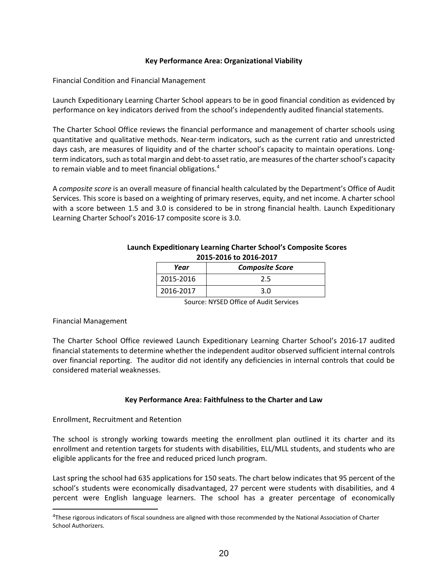#### **Key Performance Area: Organizational Viability**

Financial Condition and Financial Management

Launch Expeditionary Learning Charter School appears to be in good financial condition as evidenced by performance on key indicators derived from the school's independently audited financial statements.

The Charter School Office reviews the financial performance and management of charter schools using quantitative and qualitative methods. Near‐term indicators, such as the current ratio and unrestricted days cash, are measures of liquidity and of the charter school's capacity to maintain operations. Long‐ term indicators, such as total margin and debt‐to asset ratio, are measures of the charter school's capacity to remain viable and to meet financial obligations.<sup>4</sup>

A *composite score* is an overall measure of financial health calculated by the Department's Office of Audit Services. This score is based on a weighting of primary reserves, equity, and net income. A charter school with a score between 1.5 and 3.0 is considered to be in strong financial health. Launch Expeditionary Learning Charter School's 2016-17 composite score is 3.0.

| $2019 - 2010$ to $2010 - 201$ |                        |  |  |  |  |
|-------------------------------|------------------------|--|--|--|--|
| Year                          | <b>Composite Score</b> |  |  |  |  |
| 2015-2016                     | 2.5                    |  |  |  |  |
| 2016-2017                     | 3.O                    |  |  |  |  |

#### **Launch Expeditionary Learning Charter School's Composite Scores 2015-2016 to 2016-2017**

Source: NYSED Office of Audit Services

## Financial Management

 $\overline{a}$ 

The Charter School Office reviewed Launch Expeditionary Learning Charter School's 2016-17 audited financial statements to determine whether the independent auditor observed sufficient internal controls over financial reporting. The auditor did not identify any deficiencies in internal controls that could be considered material weaknesses.

## **Key Performance Area: Faithfulness to the Charter and Law**

Enrollment, Recruitment and Retention

The school is strongly working towards meeting the enrollment plan outlined it its charter and its enrollment and retention targets for students with disabilities, ELL/MLL students, and students who are eligible applicants for the free and reduced priced lunch program.

Last spring the school had 635 applications for 150 seats. The chart below indicates that 95 percent of the school's students were economically disadvantaged, 27 percent were students with disabilities, and 4 percent were English language learners. The school has a greater percentage of economically

<sup>&</sup>lt;sup>4</sup>These rigorous indicators of fiscal soundness are aligned with those recommended by the National Association of Charter School Authorizers.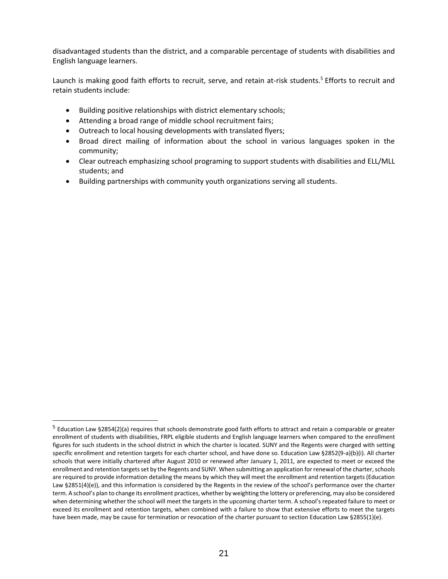disadvantaged students than the district, and a comparable percentage of students with disabilities and English language learners.

Launch is making good faith efforts to recruit, serve, and retain at-risk students.<sup>5</sup> Efforts to recruit and retain students include:

- Building positive relationships with district elementary schools;
- Attending a broad range of middle school recruitment fairs;

 $\overline{a}$ 

- Outreach to local housing developments with translated flyers;
- Broad direct mailing of information about the school in various languages spoken in the community;
- Clear outreach emphasizing school programing to support students with disabilities and ELL/MLL students; and
- Building partnerships with community youth organizations serving all students.

<sup>&</sup>lt;sup>5</sup> Education Law §2854(2)(a) requires that schools demonstrate good faith efforts to attract and retain a comparable or greater enrollment of students with disabilities, FRPL eligible students and English language learners when compared to the enrollment figures for such students in the school district in which the charter is located. SUNY and the Regents were charged with setting specific enrollment and retention targets for each charter school, and have done so. Education Law §2852(9-a)(b)(i). All charter schools that were initially chartered after August 2010 or renewed after January 1, 2011, are expected to meet or exceed the enrollment and retention targets set by the Regents and SUNY. When submitting an application for renewal of the charter, schools are required to provide information detailing the means by which they will meet the enrollment and retention targets (Education Law §2851(4)(e)), and this information is considered by the Regents in the review of the school's performance over the charter term. A school's plan to change its enrollment practices, whether by weighting the lottery or preferencing, may also be considered when determining whether the school will meet the targets in the upcoming charter term. A school's repeated failure to meet or exceed its enrollment and retention targets, when combined with a failure to show that extensive efforts to meet the targets have been made, may be cause for termination or revocation of the charter pursuant to section Education Law §2855(1)(e).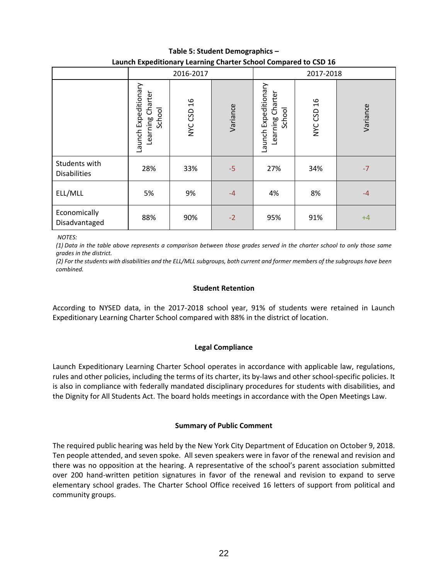| Table 5: Student Demographics -                                 |  |
|-----------------------------------------------------------------|--|
| Launch Expeditionary Learning Charter School Compared to CSD 16 |  |

|                                      | 2016-2017                                             |            |          | 2017-2018                                          |                   |          |
|--------------------------------------|-------------------------------------------------------|------------|----------|----------------------------------------------------|-------------------|----------|
|                                      | Expeditionary<br>Learning Charter<br>School<br>Launch | NYC CSD 16 | Variance | Launch Expeditionary<br>Learning Charter<br>School | 16<br>CSD<br>NYC. | Variance |
| Students with<br><b>Disabilities</b> | 28%                                                   | 33%        | $-5$     | 27%                                                | 34%               | $-7$     |
| ELL/MLL                              | 5%                                                    | 9%         | $-4$     | 4%                                                 | 8%                | $-4$     |
| Economically<br>Disadvantaged        | 88%                                                   | 90%        | $-2$     | 95%                                                | 91%               | $+4$     |

*NOTES:* 

*(1) Data in the table above represents a comparison between those grades served in the charter school to only those same grades in the district.*

*(2) For the students with disabilities and the ELL/MLL subgroups, both current and former members of the subgroups have been combined.*

## **Student Retention**

According to NYSED data, in the 2017-2018 school year, 91% of students were retained in Launch Expeditionary Learning Charter School compared with 88% in the district of location.

## **Legal Compliance**

Launch Expeditionary Learning Charter School operates in accordance with applicable law, regulations, rules and other policies, including the terms of its charter, its by-laws and other school-specific policies. It is also in compliance with federally mandated disciplinary procedures for students with disabilities, and the Dignity for All Students Act. The board holds meetings in accordance with the Open Meetings Law.

## **Summary of Public Comment**

The required public hearing was held by the New York City Department of Education on October 9, 2018. Ten people attended, and seven spoke. All seven speakers were in favor of the renewal and revision and there was no opposition at the hearing. A representative of the school's parent association submitted over 200 hand-written petition signatures in favor of the renewal and revision to expand to serve elementary school grades. The Charter School Office received 16 letters of support from political and community groups.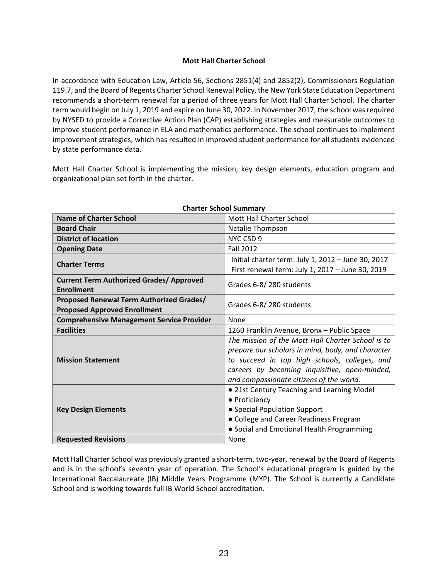## **Mott Hall Charter School**

In accordance with Education Law, Article 56, Sections 2851(4) and 2852(2), Commissioners Regulation 119.7, and the Board of Regents Charter School Renewal Policy, the New York State Education Department recommends a short-term renewal for a period of three years for Mott Hall Charter School. The charter term would begin on July 1, 2019 and expire on June 30, 2022. In November 2017, the school was required by NYSED to provide a Corrective Action Plan (CAP) establishing strategies and measurable outcomes to improve student performance in ELA and mathematics performance. The school continues to implement improvement strategies, which has resulted in improved student performance for all students evidenced by state performance data.

Mott Hall Charter School is implementing the mission, key design elements, education program and organizational plan set forth in the charter.

| <b>Name of Charter School</b>                    | Mott Hall Charter School                           |
|--------------------------------------------------|----------------------------------------------------|
| <b>Board Chair</b>                               | Natalie Thompson                                   |
| <b>District of location</b>                      | NYC CSD 9                                          |
| <b>Opening Date</b>                              | <b>Fall 2012</b>                                   |
| <b>Charter Terms</b>                             | Initial charter term: July 1, 2012 - June 30, 2017 |
|                                                  | First renewal term: July 1, 2017 - June 30, 2019   |
| <b>Current Term Authorized Grades/ Approved</b>  | Grades 6-8/280 students                            |
| <b>Enrollment</b>                                |                                                    |
| Proposed Renewal Term Authorized Grades/         | Grades 6-8/280 students                            |
| <b>Proposed Approved Enrollment</b>              |                                                    |
| <b>Comprehensive Management Service Provider</b> | None                                               |
| <b>Facilities</b>                                | 1260 Franklin Avenue, Bronx - Public Space         |
|                                                  | The mission of the Mott Hall Charter School is to  |
|                                                  | prepare our scholars in mind, body, and character  |
| <b>Mission Statement</b>                         | to succeed in top high schools, colleges, and      |
|                                                  | careers by becoming inquisitive, open-minded,      |
|                                                  | and compassionate citizens of the world.           |
|                                                  | . 21st Century Teaching and Learning Model         |
|                                                  | • Proficiency                                      |
| <b>Key Design Elements</b>                       | • Special Population Support                       |
|                                                  | • College and Career Readiness Program             |
|                                                  | • Social and Emotional Health Programming          |
| <b>Requested Revisions</b>                       | None                                               |

#### **Charter School Summary**

Mott Hall Charter School was previously granted a short-term, two-year, renewal by the Board of Regents and is in the school's seventh year of operation. The School's educational program is guided by the International Baccalaureate (IB) Middle Years Programme (MYP). The School is currently a Candidate School and is working towards full IB World School accreditation.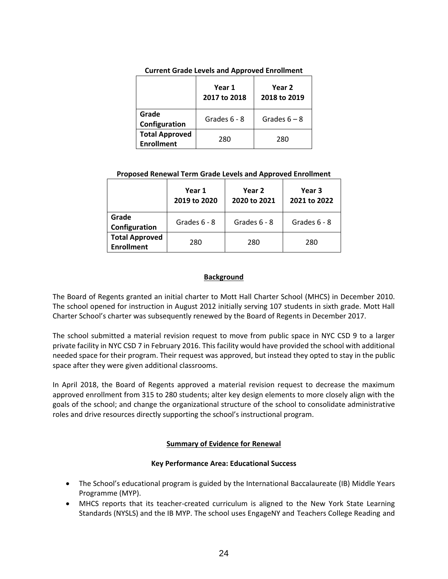|                                            | Year 1<br>2017 to 2018 | Year 2<br>2018 to 2019 |
|--------------------------------------------|------------------------|------------------------|
| Grade<br>Configuration                     | Grades 6 - 8           | Grades $6 - 8$         |
| <b>Total Approved</b><br><b>Enrollment</b> | 280                    | 280                    |

#### **Current Grade Levels and Approved Enrollment**

#### **Proposed Renewal Term Grade Levels and Approved Enrollment**

|                                            | Year 1<br>2019 to 2020 | Year 2<br>2020 to 2021 | Year 3<br>2021 to 2022 |
|--------------------------------------------|------------------------|------------------------|------------------------|
| Grade<br>Configuration                     | Grades $6 - 8$         | Grades $6 - 8$         | Grades $6 - 8$         |
| <b>Total Approved</b><br><b>Enrollment</b> | 280                    | 280                    | 280                    |

## **Background**

The Board of Regents granted an initial charter to Mott Hall Charter School (MHCS) in December 2010. The school opened for instruction in August 2012 initially serving 107 students in sixth grade. Mott Hall Charter School's charter was subsequently renewed by the Board of Regents in December 2017.

The school submitted a material revision request to move from public space in NYC CSD 9 to a larger private facility in NYC CSD 7 in February 2016. This facility would have provided the school with additional needed space for their program. Their request was approved, but instead they opted to stay in the public space after they were given additional classrooms.

In April 2018, the Board of Regents approved a material revision request to decrease the maximum approved enrollment from 315 to 280 students; alter key design elements to more closely align with the goals of the school; and change the organizational structure of the school to consolidate administrative roles and drive resources directly supporting the school's instructional program.

## **Summary of Evidence for Renewal**

## **Key Performance Area: Educational Success**

- The School's educational program is guided by the International Baccalaureate (IB) Middle Years Programme (MYP).
- MHCS reports that its teacher-created curriculum is aligned to the New York State Learning Standards (NYSLS) and the IB MYP. The school uses EngageNY and Teachers College Reading and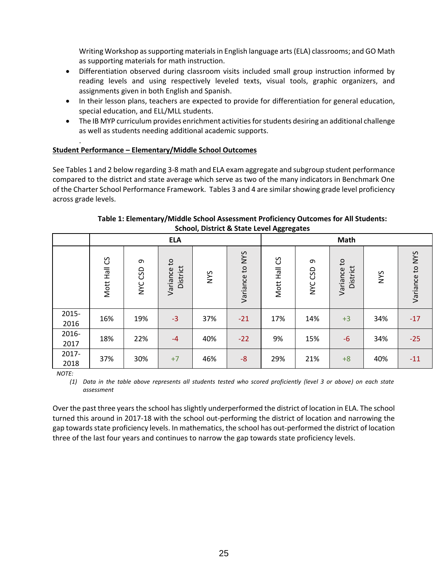Writing Workshop as supporting materials in English language arts (ELA) classrooms; and GO Math as supporting materials for math instruction.

- Differentiation observed during classroom visits included small group instruction informed by reading levels and using respectively leveled texts, visual tools, graphic organizers, and assignments given in both English and Spanish.
- In their lesson plans, teachers are expected to provide for differentiation for general education, special education, and ELL/MLL students.
- The IB MYP curriculum provides enrichment activities for students desiring an additional challenge as well as students needing additional academic supports.

#### . **Student Performance – Elementary/Middle School Outcomes**

See Tables 1 and 2 below regarding 3-8 math and ELA exam aggregate and subgroup student performance compared to the district and state average which serve as two of the many indicators in Benchmark One of the Charter School Performance Framework. Tables 3 and 4 are similar showing grade level proficiency across grade levels.

|               | <b>ELA</b>   |                               |                                      |            |                 |              | Math                   |                                      |            |                 |
|---------------|--------------|-------------------------------|--------------------------------------|------------|-----------------|--------------|------------------------|--------------------------------------|------------|-----------------|
|               | Mott Hall CS | $\sigma$<br>CSD<br><b>NYC</b> | $\mathsf{c}$<br>District<br>Variance | <b>NYS</b> | Variance to NYS | Mott Hall CS | ᡡ<br>GSD<br><b>NAC</b> | $\mathbf{c}$<br>District<br>Variance | <b>SAN</b> | Variance to NYS |
| 2015-<br>2016 | 16%          | 19%                           | $-3$                                 | 37%        | $-21$           | 17%          | 14%                    | $+3$                                 | 34%        | $-17$           |
| 2016-<br>2017 | 18%          | 22%                           | $-4$                                 | 40%        | $-22$           | 9%           | 15%                    | $-6$                                 | 34%        | $-25$           |
| 2017-<br>2018 | 37%          | 30%                           | $+7$                                 | 46%        | $-8$            | 29%          | 21%                    | $+8$                                 | 40%        | $-11$           |

## **Table 1: Elementary/Middle School Assessment Proficiency Outcomes for All Students: School, District & State Level Aggregates**

*NOTE:*

*(1) Data in the table above represents all students tested who scored proficiently (level 3 or above) on each state assessment*

Over the past three years the school has slightly underperformed the district of location in ELA. The school turned this around in 2017-18 with the school out-performing the district of location and narrowing the gap towards state proficiency levels. In mathematics, the school has out-performed the district of location three of the last four years and continues to narrow the gap towards state proficiency levels.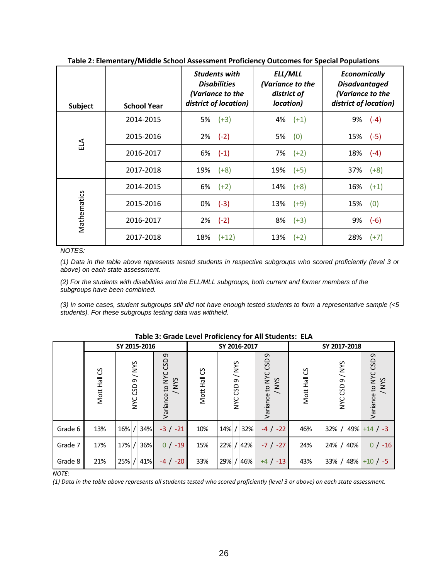| <b>Subject</b> | <b>School Year</b> | <b>Students with</b><br><b>Disabilities</b><br>(Variance to the<br>district of location) | ELL/MLL<br>(Variance to the<br>district of<br>location) | <b>Economically</b><br><b>Disadvantaged</b><br>(Variance to the<br>district of location) |
|----------------|--------------------|------------------------------------------------------------------------------------------|---------------------------------------------------------|------------------------------------------------------------------------------------------|
|                | 2014-2015          | $5\%$ $(+3)$                                                                             | $4\%$ $(+1)$                                            | $(-4)$<br>9%                                                                             |
| ELA            | 2015-2016          | $(-2)$<br>2%                                                                             | (0)<br>5%                                               | 15%<br>$(-5)$                                                                            |
|                | 2016-2017          | $6\%$ $(-1)$                                                                             | $7\%$ $(+2)$                                            | 18%<br>$(-4)$                                                                            |
|                | 2017-2018          | $(+8)$<br>19%                                                                            | $19\%$ (+5)                                             | $37\%$ $(+8)$                                                                            |
|                | 2014-2015          | 6%<br>$(+2)$                                                                             | $14\%$ $(+8)$                                           | 16%<br>$(+1)$                                                                            |
|                | 2015-2016          | $(-3)$<br>0%                                                                             | $13\%$ (+9)                                             | (0)<br>15%                                                                               |
| Mathematics    | 2016-2017          | $(-2)$<br>2%                                                                             | 8%<br>$(+3)$                                            | $(-6)$<br>9%                                                                             |
|                | 2017-2018          | 18%<br>$(+12)$                                                                           | 13%<br>$(+2)$                                           | 28%<br>$(+7)$                                                                            |

**Table 2: Elementary/Middle School Assessment Proficiency Outcomes for Special Populations**

*NOTES:*

*(1) Data in the table above represents tested students in respective subgroups who scored proficiently (level 3 or above) on each state assessment.*

*(2) For the students with disabilities and the ELL/MLL subgroups, both current and former members of the subgroups have been combined.*

*(3) In some cases, student subgroups still did not have enough tested students to form a representative sample (<5 students). For these subgroups testing data was withheld.*

|              |              | SY 2015-2016                                                                                                                    |                                     |              | SY 2016-2017    |                                                  | SY 2017-2018 |                           |                                 |
|--------------|--------------|---------------------------------------------------------------------------------------------------------------------------------|-------------------------------------|--------------|-----------------|--------------------------------------------------|--------------|---------------------------|---------------------------------|
|              | Mott Hall CS | NYC CSD 9 / NYS                                                                                                                 | G<br>GSD<br>Variance to NYC<br>VN/S | Mott Hall CS | NYC CSD 9 / NYS | $\sigma$<br><b>GSD</b><br>Variance to NYC<br>SAN | Mott Hall CS | CSD 9 / NYS<br><b>NYC</b> | G<br>Variance to NYC CSD<br>SAN |
| Grade 6      | 13%          | 34%<br>$16\%$ /                                                                                                                 | $-3$ / $-21$                        | 10%          | 32%<br>$14\%$ / | $-4$ / $-22$                                     | 46%          | $32\%$ /                  | $49\%$ +14 / -3                 |
| Grade 7      | 17%          | 36%<br>17% /                                                                                                                    | $0 / -19$                           | 15%          | 22% / 42%       | $-7$ / $-27$                                     | 24%          | $24\%$ /<br>40%           | $0/ -16$                        |
| Grade 8      | 21%          | 25% /<br>41%                                                                                                                    | $-4$ / $-20$                        | 33%          | 29% /<br>46%    | $+4$ / $-13$                                     | 43%          | $33\%$ /<br>48%           | $+10/ -5$                       |
| <b>NOTE:</b> |              | (1) Data in the table above represents all students tested who scored proficiently (level 3 or above) on each state assessment. |                                     |              |                 |                                                  |              |                           |                                 |

**Table 3: Grade Level Proficiency for All Students: ELA**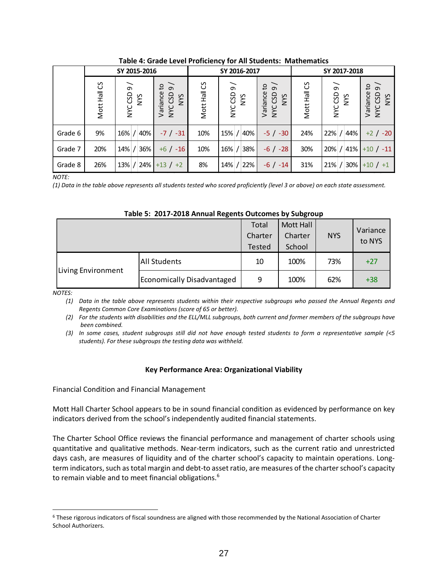|                                                                                                                                                                                                                                                                                                                                                                                                                                                                                                              | SY 2015-2016                                                                                                                                                |           |     |                                                                                                                                                                                           |              | SY 2016-2017 |     |                                   | SY 2017-2018 |                                |            |              |                                                                                                                                                                                                                                                                                                                                                              |
|--------------------------------------------------------------------------------------------------------------------------------------------------------------------------------------------------------------------------------------------------------------------------------------------------------------------------------------------------------------------------------------------------------------------------------------------------------------------------------------------------------------|-------------------------------------------------------------------------------------------------------------------------------------------------------------|-----------|-----|-------------------------------------------------------------------------------------------------------------------------------------------------------------------------------------------|--------------|--------------|-----|-----------------------------------|--------------|--------------------------------|------------|--------------|--------------------------------------------------------------------------------------------------------------------------------------------------------------------------------------------------------------------------------------------------------------------------------------------------------------------------------------------------------------|
|                                                                                                                                                                                                                                                                                                                                                                                                                                                                                                              | Mott Hall CS                                                                                                                                                | NYC CSD 9 | NYS | Variance to<br>NYC CSD 9<br>NYS                                                                                                                                                           | Mott Hall CS | NYC CSD 9    | NYS | NYC CSD 9<br>Variance to          | NYS          | Mott Hall CS                   | NYC CSD 9  | <b>NYS</b>   | Variance to<br>NYC CSD 9 /<br>NYS                                                                                                                                                                                                                                                                                                                            |
| Grade 6                                                                                                                                                                                                                                                                                                                                                                                                                                                                                                      | 9%                                                                                                                                                          | $16\%$ /  | 40% | $-7 / -31$                                                                                                                                                                                | 10%          | 15% /        | 40% | $-5$ / $-30$                      |              | 24%                            | $22\%$ /   | 44%          | $+2$ / $-20$                                                                                                                                                                                                                                                                                                                                                 |
| Grade 7                                                                                                                                                                                                                                                                                                                                                                                                                                                                                                      | 20%                                                                                                                                                         | 14% / 36% |     | $+6$ / $-16$                                                                                                                                                                              | 10%          | $16\%$ /     | 38% | $-6$ / $-28$                      |              | 30%                            | 20% /      | 41%          | $+10/ -11$                                                                                                                                                                                                                                                                                                                                                   |
| Grade 8                                                                                                                                                                                                                                                                                                                                                                                                                                                                                                      | 26%                                                                                                                                                         |           |     | $13\%$ / 24% + 13 / + 2                                                                                                                                                                   | 8%           | $14\%$ /     | 22% | $-6$ / $-14$                      |              | 31%                            |            | $21\%$ / 30% | $+10/11$                                                                                                                                                                                                                                                                                                                                                     |
| <b>NOTE:</b>                                                                                                                                                                                                                                                                                                                                                                                                                                                                                                 |                                                                                                                                                             |           |     | (1) Data in the table above represents all students tested who scored proficiently (level 3 or above) on each state assessment.<br>Table 5: 2017-2018 Annual Regents Outcomes by Subgroup |              |              |     |                                   |              |                                |            |              |                                                                                                                                                                                                                                                                                                                                                              |
|                                                                                                                                                                                                                                                                                                                                                                                                                                                                                                              |                                                                                                                                                             |           |     |                                                                                                                                                                                           |              |              |     | Total<br>Charter<br><b>Tested</b> |              | Mott Hall<br>Charter<br>School | <b>NYS</b> |              | Variance<br>to NYS                                                                                                                                                                                                                                                                                                                                           |
|                                                                                                                                                                                                                                                                                                                                                                                                                                                                                                              | Living Environment                                                                                                                                          |           |     | <b>All Students</b>                                                                                                                                                                       |              |              |     | 10                                |              | 100%                           | 73%        |              | $+27$                                                                                                                                                                                                                                                                                                                                                        |
|                                                                                                                                                                                                                                                                                                                                                                                                                                                                                                              |                                                                                                                                                             |           |     | <b>Economically Disadvantaged</b>                                                                                                                                                         |              |              |     | 9                                 |              | 100%                           | 62%        |              | $+38$                                                                                                                                                                                                                                                                                                                                                        |
| (1)<br>(3)                                                                                                                                                                                                                                                                                                                                                                                                                                                                                                   | been combined.                                                                                                                                              |           |     | Regents Common Core Examinations (score of 65 or better).<br>students). For these subgroups the testing data was withheld.<br>Key Performance Area: Organizational Viability              |              |              |     |                                   |              |                                |            |              | Data in the table above represents students within their respective subgroups who passed the Annual Regents and<br>(2) For the students with disabilities and the ELL/MLL subgroups, both current and former members of the subgroups have<br>In some cases, student subgroups still did not have enough tested students to form a representative sample (<5 |
|                                                                                                                                                                                                                                                                                                                                                                                                                                                                                                              |                                                                                                                                                             |           |     | <b>Financial Condition and Financial Management</b>                                                                                                                                       |              |              |     |                                   |              |                                |            |              |                                                                                                                                                                                                                                                                                                                                                              |
|                                                                                                                                                                                                                                                                                                                                                                                                                                                                                                              |                                                                                                                                                             |           |     | indicators derived from the school's independently audited financial statements.                                                                                                          |              |              |     |                                   |              |                                |            |              | Mott Hall Charter School appears to be in sound financial condition as evidenced by performance on key                                                                                                                                                                                                                                                       |
| The Charter School Office reviews the financial performance and management of charter schools using<br>quantitative and qualitative methods. Near-term indicators, such as the current ratio and unrestricted<br>days cash, are measures of liquidity and of the charter school's capacity to maintain operations. Long-<br>term indicators, such as total margin and debt-to asset ratio, are measures of the charter school's capacity<br>to remain viable and to meet financial obligations. <sup>6</sup> |                                                                                                                                                             |           |     |                                                                                                                                                                                           |              |              |     |                                   |              |                                |            |              |                                                                                                                                                                                                                                                                                                                                                              |
|                                                                                                                                                                                                                                                                                                                                                                                                                                                                                                              | <sup>6</sup> These rigorous indicators of fiscal soundness are aligned with those recommended by the National Association of Charter<br>School Authorizers. |           |     |                                                                                                                                                                                           |              |              |     |                                   |              |                                |            |              |                                                                                                                                                                                                                                                                                                                                                              |

**Table 4: Grade Level Proficiency for All Students: Mathematics**

|                    |                            | Total<br>Charter<br><b>Tested</b> | Mott Hall<br>Charter<br>School | <b>NYS</b> | Variance<br>to NYS |
|--------------------|----------------------------|-----------------------------------|--------------------------------|------------|--------------------|
|                    | <b>All Students</b>        | 10                                | 100%                           | 73%        | $+27$              |
| Living Environment | Economically Disadvantaged | 9                                 | 100%                           | 62%        | $+38$              |

|  | Table 5: 2017-2018 Annual Regents Outcomes by Subgroup |  |  |  |  |  |
|--|--------------------------------------------------------|--|--|--|--|--|
|--|--------------------------------------------------------|--|--|--|--|--|

## **Key Performance Area: Organizational Viability**

 $6$  These rigorous indicators of fiscal soundness are aligned with those recommended by the National Association of Charter School Authorizers.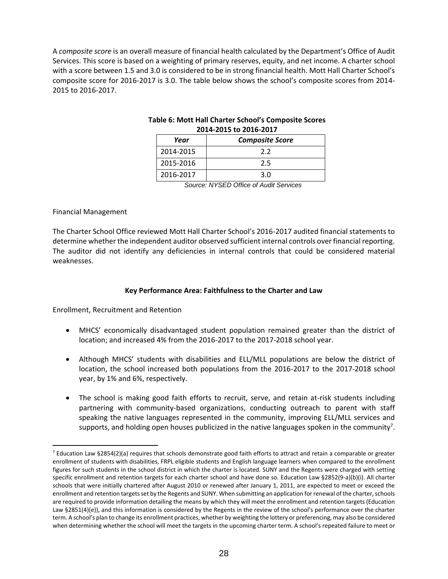A *composite score* is an overall measure of financial health calculated by the Department's Office of Audit Services. This score is based on a weighting of primary reserves, equity, and net income. A charter school with a score between 1.5 and 3.0 is considered to be in strong financial health. Mott Hall Charter School's composite score for 2016-2017 is 3.0. The table below shows the school's composite scores from 2014- 2015 to 2016-2017.

|           | <b>2014-2015 to 2016-2017</b> |  |  |  |  |  |  |
|-----------|-------------------------------|--|--|--|--|--|--|
| Year      | <b>Composite Score</b>        |  |  |  |  |  |  |
| 2014-2015 | 2.2                           |  |  |  |  |  |  |
| 2015-2016 | 2.5                           |  |  |  |  |  |  |
| 2016-2017 | 3.0                           |  |  |  |  |  |  |

## **Table 6: Mott Hall Charter School's Composite Scores 2014-2015 to 2016-2017**

*Source: NYSED Office of Audit Services*

## Financial Management

 $\overline{a}$ 

The Charter School Office reviewed Mott Hall Charter School's 2016-2017 audited financial statements to determine whether the independent auditor observed sufficient internal controls over financial reporting. The auditor did not identify any deficiencies in internal controls that could be considered material weaknesses.

## **Key Performance Area: Faithfulness to the Charter and Law**

Enrollment, Recruitment and Retention

- MHCS' economically disadvantaged student population remained greater than the district of location; and increased 4% from the 2016-2017 to the 2017-2018 school year.
- Although MHCS' students with disabilities and ELL/MLL populations are below the district of location, the school increased both populations from the 2016-2017 to the 2017-2018 school year, by 1% and 6%, respectively.
- The school is making good faith efforts to recruit, serve, and retain at-risk students including partnering with community-based organizations, conducting outreach to parent with staff speaking the native languages represented in the community, improving ELL/MLL services and supports, and holding open houses publicized in the native languages spoken in the community<sup>7</sup>.

 $7$  Education Law §2854(2)(a) requires that schools demonstrate good faith efforts to attract and retain a comparable or greater enrollment of students with disabilities, FRPL eligible students and English language learners when compared to the enrollment figures for such students in the school district in which the charter is located. SUNY and the Regents were charged with setting specific enrollment and retention targets for each charter school and have done so. Education Law §2852(9-a)(b)(i). All charter schools that were initially chartered after August 2010 or renewed after January 1, 2011, are expected to meet or exceed the enrollment and retention targets set by the Regents and SUNY. When submitting an application for renewal of the charter, schools are required to provide information detailing the means by which they will meet the enrollment and retention targets (Education Law §2851(4)(e)), and this information is considered by the Regents in the review of the school's performance over the charter term. A school's plan to change its enrollment practices, whether by weighting the lottery or preferencing, may also be considered when determining whether the school will meet the targets in the upcoming charter term. A school's repeated failure to meet or